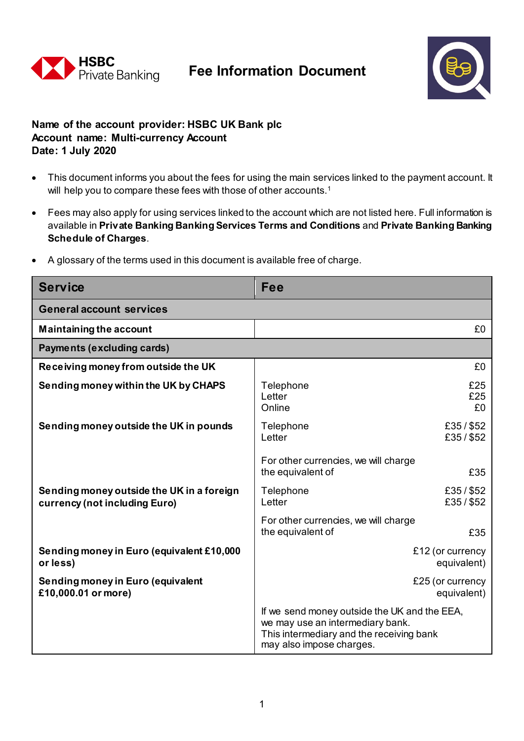

## **Fee Information Document**



## **Name of the account provider: HSBC UK Bank plc Account name: Multi-currency Account Date: 1 July 2020**

- This document informs you about the fees for using the main services linked to the payment account. It will help you to compare these fees with those of other accounts.<sup>1</sup>
- Fees may also apply for using services linked to the account which are not listed here. Full information is available in **Private Banking Banking Services Terms and Conditions** and **Private Banking Banking Schedule of Charges**.
- A glossary of the terms used in this document is available free of charge.

| <b>Service</b>                                                             | Fee                                                                                                                                                      |  |
|----------------------------------------------------------------------------|----------------------------------------------------------------------------------------------------------------------------------------------------------|--|
| <b>General account services</b>                                            |                                                                                                                                                          |  |
| <b>Maintaining the account</b>                                             | £0                                                                                                                                                       |  |
| Payments (excluding cards)                                                 |                                                                                                                                                          |  |
| Receiving money from outside the UK                                        | £0                                                                                                                                                       |  |
| Sending money within the UK by CHAPS                                       | £25<br>Telephone<br>£25<br>Letter<br>Online<br>£0                                                                                                        |  |
| Sending money outside the UK in pounds                                     | £35/\$52<br>Telephone<br>Letter<br>£35/\$52                                                                                                              |  |
|                                                                            | For other currencies, we will charge<br>the equivalent of<br>£35                                                                                         |  |
| Sending money outside the UK in a foreign<br>currency (not including Euro) | £35/\$52<br>Telephone<br>£35/\$52<br>Letter                                                                                                              |  |
|                                                                            | For other currencies, we will charge<br>the equivalent of<br>£35                                                                                         |  |
| Sending money in Euro (equivalent £10,000<br>or less)                      | £12 (or currency<br>equivalent)                                                                                                                          |  |
| Sending money in Euro (equivalent<br>£10,000.01 or more)                   | £25 (or currency<br>equivalent)                                                                                                                          |  |
|                                                                            | If we send money outside the UK and the EEA,<br>we may use an intermediary bank.<br>This intermediary and the receiving bank<br>may also impose charges. |  |